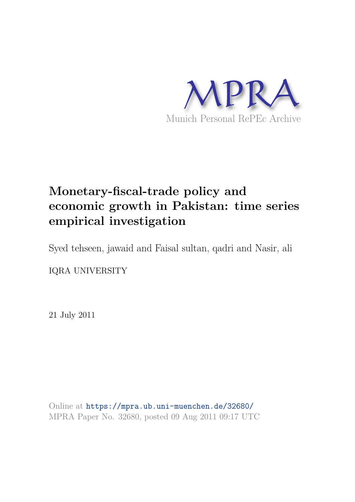

# **Monetary-fiscal-trade policy and economic growth in Pakistan: time series empirical investigation**

Syed tehseen, jawaid and Faisal sultan, qadri and Nasir, ali

IQRA UNIVERSITY

21 July 2011

Online at https://mpra.ub.uni-muenchen.de/32680/ MPRA Paper No. 32680, posted 09 Aug 2011 09:17 UTC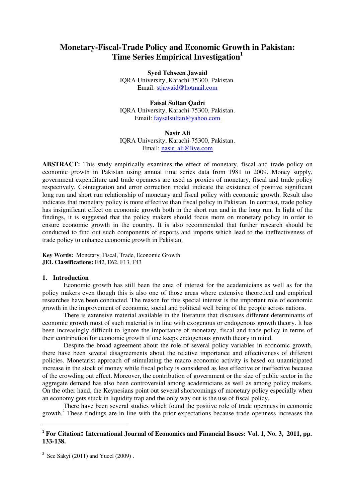# **Monetary-Fiscal-Trade Policy and Economic Growth in Pakistan: Time Series Empirical Investigation<sup>1</sup>**

**Syed Tehseen Jawaid** 

IQRA University, Karachi-75300, Pakistan. Email[: stjawaid@hotmail.com](mailto:stjawaid@hotmail.com)

**Faisal Sultan Qadri** 

IQRA University, Karachi-75300, Pakistan. Email: [faysalsultan@yahoo.com](mailto:faysalsultan@yahoo.com)

**Nasir Ali**  IQRA University, Karachi-75300, Pakistan. Email: nasir\_ali@live.com

**ABSTRACT:** This study empirically examines the effect of monetary, fiscal and trade policy on economic growth in Pakistan using annual time series data from 1981 to 2009. Money supply, government expenditure and trade openness are used as proxies of monetary, fiscal and trade policy respectively. Cointegration and error correction model indicate the existence of positive significant long run and short run relationship of monetary and fiscal policy with economic growth. Result also indicates that monetary policy is more effective than fiscal policy in Pakistan. In contrast, trade policy has insignificant effect on economic growth both in the short run and in the long run. In light of the findings, it is suggested that the policy makers should focus more on monetary policy in order to ensure economic growth in the country. It is also recommended that further research should be conducted to find out such components of exports and imports which lead to the ineffectiveness of trade policy to enhance economic growth in Pakistan.

**Key Words:** Monetary, Fiscal, Trade, Economic Growth **JEL Classifications:** E42, E62, F13, F43

## **1. Introduction**

 $\overline{a}$ 

Economic growth has still been the area of interest for the academicians as well as for the policy makers even though this is also one of those areas where extensive theoretical and empirical researches have been conducted. The reason for this special interest is the important role of economic growth in the improvement of economic, social and political well being of the people across nations.

There is extensive material available in the literature that discusses different determinants of economic growth most of such material is in line with exogenous or endogenous growth theory. It has been increasingly difficult to ignore the importance of monetary, fiscal and trade policy in terms of their contribution for economic growth if one keeps endogenous growth theory in mind.

Despite the broad agreement about the role of several policy variables in economic growth, there have been several disagreements about the relative importance and effectiveness of different policies. Monetarist approach of stimulating the macro economic activity is based on unanticipated increase in the stock of money while fiscal policy is considered as less effective or ineffective because of the crowding out effect. Moreover, the contribution of government or the size of public sector in the aggregate demand has also been controversial among academicians as well as among policy makers. On the other hand, the Keynesians point out several shortcomings of monetary policy especially when an economy gets stuck in liquidity trap and the only way out is the use of fiscal policy.

There have been several studies which found the positive role of trade openness in economic growth. $2$  These findings are in line with the prior expectations because trade openness increases the

# <sup>1</sup> For Citation: International Journal of Economics and Financial Issues: Vol. 1, No. 3, 2011, pp. **133-138.**

<sup>&</sup>lt;sup>2</sup> See Sakyi (2011) and Yucel (2009).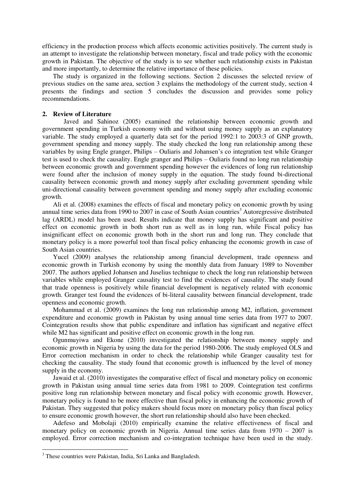efficiency in the production process which affects economic activities positively. The current study is an attempt to investigate the relationship between monetary, fiscal and trade policy with the economic growth in Pakistan. The objective of the study is to see whether such relationship exists in Pakistan and more importantly, to determine the relative importance of these policies.

The study is organized in the following sections. Section 2 discusses the selected review of previous studies on the same area, section 3 explains the methodology of the current study, section 4 presents the findings and section 5 concludes the discussion and provides some policy recommendations.

## **2. Review of Literature**

Javed and Sahinoz (2005) examined the relationship between economic growth and government spending in Turkish economy with and without using money supply as an explanatory variable. The study employed a quarterly data set for the period 1992:1 to 2003:3 of GNP growth, government spending and money supply. The study checked the long run relationship among these variables by using Engle granger, Philips – Ouliaris and Johansen's co integration test while Granger test is used to check the causality. Engle granger and Philips – Ouliaris found no long run relationship between economic growth and government spending however the evidences of long run relationship were found after the inclusion of money supply in the equation. The study found bi-directional causality between economic growth and money supply after excluding government spending while uni-directional causality between government spending and money supply after excluding economic growth.

Ali et al. (2008) examines the effects of fiscal and monetary policy on economic growth by using annual time series data from 1990 to 2007 in case of South Asian countries<sup>3</sup> Autoregressive distributed lag (ARDL) model has been used. Results indicate that money supply has significant and positive effect on economic growth in both short run as well as in long run, while Fiscal policy has insignificant effect on economic growth both in the short run and long run. They conclude that monetary policy is a more powerful tool than fiscal policy enhancing the economic growth in case of South Asian countries.

Yucel (2009) analyses the relationship among financial development, trade openness and economic growth in Turkish economy by using the monthly data from January 1989 to November 2007. The authors applied Johansen and Juselius technique to check the long run relationship between variables while employed Granger causality test to find the evidences of causality. The study found that trade openness is positively while financial development is negatively related with economic growth. Granger test found the evidences of bi-literal causality between financial development, trade openness and economic growth.

Mohammad et al. (2009) examines the long run relationship among M2, inflation, government expenditure and economic growth in Pakistan by using annual time series data from 1977 to 2007. Cointegration results show that public expenditure and inflation has significant and negative effect while M2 has significant and positive effect on economic growth in the long run.

Ogunmuyiwa and Ekone (2010) investigated the relationship between money supply and economic growth in Nigeria by using the data for the period 1980-2006. The study employed OLS and Error correction mechanism in order to check the relationship while Granger causality test for checking the causality. The study found that economic growth is influenced by the level of money supply in the economy.

Jawaid et al. (2010) investigates the comparative effect of fiscal and monetary policy on economic growth in Pakistan using annual time series data from 1981 to 2009. Cointegration test confirms positive long run relationship between monetary and fiscal policy with economic growth. However, monetary policy is found to be more effective than fiscal policy in enhancing the economic growth of Pakistan. They suggested that policy makers should focus more on monetary policy than fiscal policy to ensure economic growth however, the short run relationship should also have been ehecked.

Adefeso and Mobolaji (2010) empirically examine the relative effectiveness of fiscal and monetary policy on economic growth in Nigeria. Annual time series data from 1970 – 2007 is employed. Error correction mechanism and co-integration technique have been used in the study.

 $\overline{a}$ 

<sup>&</sup>lt;sup>3</sup> These countries were Pakistan, India, Sri Lanka and Bangladesh.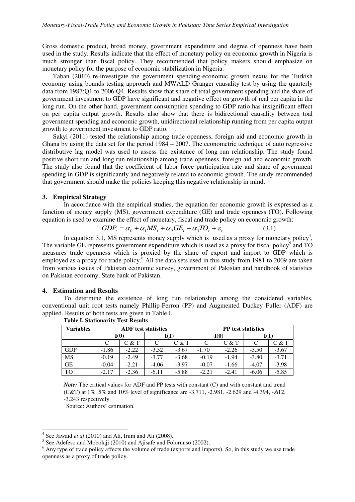Gross domestic product, broad money, government expenditure and degree of openness have been used in the study. Results indicate that the effect of monetary policy on economic growth in Nigeria is much stronger than fiscal policy. They recommended that policy makers should emphasize on monetary policy for the purpose of economic stabilization in Nigeria.

Taban (2010) re-investigate the government spending-economic growth nexus for the Turkish economy using bounds testing approach and MWALD Granger causality test by using the quarterly data from 1987:Q1 to 2006:Q4. Results show that share of total government spending and the share of government investment to GDP have significant and negative effect on growth of real per capita in the long run. On the other hand, government consumption spending to GDP ratio has insignificant effect on per capita output growth. Results also show that there is bidirectional causality between toal government spending and economic growth, unidirectional relationship running from per capita output growth to government investment to GDP ratio. .

Sakyi (2011) tested the relationship among trade openness, foreign aid and economic growth in Ghana by using the data set for the period 1984 – 2007. The econometric technique of auto regressive distributive lag model was used to assess the existence of long run relationship. The study found positive short run and long run relationship among trade openness, foreign aid and economic growth. The study also found that the coefficient of labor force participation rate and share of government spending in GDP is significantly and negatively related to economic growth. The study recommended that government should make the policies keeping this negative relationship in mind.

#### **3. Empirical Strategy**

 In accordance with the empirical studies, the equation for economic growth is expressed as a function of money supply (MS), government expenditure (GE) and trade openness (TO). Following equation is used to examine the effect of monetary, fiscal and trade policy on economic growth:

$$
GDP_t = \alpha_0 + \alpha_1 MS_t + \alpha_2 GE_t + \alpha_3 TO_t + \varepsilon_t
$$
\n(3.1)

In equation 3.1, MS represents money supply which is used as a proxy for monetary policy<sup>4</sup>, The variable GE represents government expenditure which is used as a proxy for fiscal policy<sup>5</sup> and TO measures trade openness which is proxied by the share of export and import to GDP which is employed as a proxy for trade policy.<sup>6</sup> All the data sets used in this study from 1981 to 2009 are taken from various issues of Pakistan economic survey, government of Pakistan and handbook of statistics on Pakistan economy, State bank of Pakistan.

#### **4. Estimation and Results**

To determine the existence of long run relationship among the considered variables, conventional unit root tests namely Phillip-Perron (PP) and Augmented Duckey Fuller (ADF) are applied. Results of both tests are given in Table I.

| Variables  | <b>ADF</b> test statistics |         |         |         | <b>PP</b> test statistics |         |         |         |
|------------|----------------------------|---------|---------|---------|---------------------------|---------|---------|---------|
|            | I(O)                       |         | I(1)    |         | I(0)                      |         | I(1)    |         |
|            |                            | C & T   |         | C & T   |                           | C & T   |         | C & T   |
| <b>GDP</b> | $-1.86$                    | $-2.22$ | $-3.52$ | $-3.67$ | $-1.70$                   | $-2.26$ | $-3.50$ | $-3.67$ |
| <b>MS</b>  | $-0.19$                    | $-2.49$ | $-3.77$ | $-3.68$ | $-0.19$                   | $-1.94$ | $-3.80$ | $-3.71$ |
| <b>GE</b>  | $-0.04$                    | $-2.21$ | $-4.06$ | $-3.97$ | $-0.07$                   | $-1.66$ | $-4.07$ | $-3.98$ |
| <b>TO</b>  | $-2.17$                    | $-2.36$ | $-6.11$ | $-5.88$ | $-2.21$                   | $-2.41$ | $-6.06$ | $-5.85$ |

**Table I. Stationarity Test Results** 

*Note:* The critical values for ADF and PP tests with constant (C) and with constant and trend (C&T) at  $1\%$ ,  $5\%$  and  $10\%$  level of significance are  $-3.711$ ,  $-2.981$ ,  $-2.629$  and  $-4.394$ ,  $-612$ , -3.243 respectively.

Source: Authors' estimation.

l

 $4$  See Jawaid *et al* (2010) and Ali, Irum and Ali (2008).

 $<sup>5</sup>$  See Adefeso and Mobolaji (2010) and Ajisafe and Folorunso (2002).</sup>

<sup>&</sup>lt;sup>6</sup> Any type of trade policy affects the volume of trade (exports and imports). So, in this study we use trade openness as a proxy of trade policy.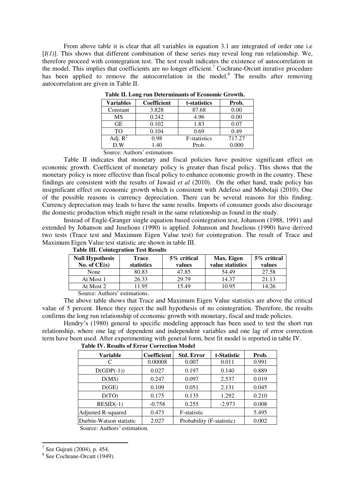From above table it is clear that all variables in equation 3.1 are integrated of order one i.e [*I(1)*]. This shows that different combination of these series may reveal long run relationship. We, therefore proceed with cointegration test. The test result indicates the existence of autocorrelation in the model. This implies that coefficients are no longer efficient.<sup>7</sup> Cochrane-Orcutt iterative procedure has been applied to remove the autocorrelation in the model.<sup>8</sup> The results after removing autocorrelation are given in Table II.

| Variables  | <b>Coefficient</b> | t-statistics         | Prob.  |
|------------|--------------------|----------------------|--------|
| Constant   | 3.828              | 87.68                | 0.00   |
| MS         | 0.242              | 4.96                 | 0.00   |
| <b>GE</b>  | 0.102              | 1.83                 | 0.07   |
| TO.        | 0.104              | 0.69                 | 0.49   |
| Adj. $R^2$ | 0.98               | <b>F</b> -statistics | 717.27 |
| D.W        | 1.40               | Prob.                | 0.000  |

 **Table II. Long run Determinants of Economic Growth.** 

Source: Authors' estimations

Table II indicates that monetary and fiscal policies have positive significant effect on economic growth. Coefficient of monetary policy is greater than fiscal policy. This shows that the monetary policy is more effective than fiscal policy to enhance economic growth in the country. These findings are consistent with the results of Jawaid *et al* (2010). On the other hand, trade policy has insignificant effect on economic growth which is consistent with Adefeso and Mobolaji (2010). One of the possible reasons is currency depreciation. There can be several reasons for this finding. Currency depreciation may leads to have the same results. Imports of consumer goods also discourage the domestic production which might result in the same relationship as found in the study.

Instead of Engle-Granger single equation based cointegration test, Johanson (1988, 1991) and extended by Johanson and Juselious (1990) is applied. Johanson and Juselious (1990) have derived two tests (Trace test and Maximum Eigen Value test) for cointegration. The result of Trace and Maximum Eigen Value test statistic are shown in table III.

| <b>Null Hypothesis</b><br>No. of $CE(s)$ | Trace<br>statistics | 5% critical<br>values | Max. Eigen<br>value statistics | 5% critical<br>values |
|------------------------------------------|---------------------|-----------------------|--------------------------------|-----------------------|
| None                                     | 80.83               | 47.85                 | 54.49                          | 27.58                 |
| At Most 1                                | 26.33               | 29.79                 | 14.37                          | 21.13                 |
| At Most 2                                | 1.95                | 5.49                  | 10.95                          | 14.26                 |

 **Table III. Cointegration Test Results** 

Source: Authors' estimations.

The above table shows that Trace and Maximum Eigen Value statistics are above the critical value of 5 percent. Hence they reject the null hypothesis of no cointegration. Therefore, the results confirms the long run relationship of economic growth with monetary, fiscal and trade policies.

Hendry's (1980) general to specific modeling approach has been used to test the short run relationship, where one lag of dependent and independent variables and one lag of error correction term have been used. After experimenting with general form, best fit model is reported in table IV.

| <b>Variable</b>           | <b>Coefficient</b> | <b>Std. Error</b>         | t-Statistic | Prob. |
|---------------------------|--------------------|---------------------------|-------------|-------|
| C                         | 0.00008            | 0.007                     | 0.011       | 0.991 |
| $D(GDP(-1))$              | 0.027              | 0.197                     | 0.140       | 0.889 |
| D(MS)                     | 0.247              | 0.097                     | 2.537       | 0.019 |
| D(GE)                     | 0.109              | 0.051                     | 2.131       | 0.045 |
| D(TO)                     | 0.175              | 0.135                     | 1.292       | 0.210 |
| $RESID(-1)$               | $-0.758$           | 0.255                     | $-2.973$    | 0.008 |
| <b>Adjusted R-squared</b> | 0.473              | F-statistic               |             | 5.495 |
| Durbin-Watson statistic   | 2.027              | Probability (F-statistic) |             | 0.002 |

 **Table IV. Results of Error Correction Model** 

Source: Authors' estimation.

l

 $7$  See Gujrati (2004), p. 454.

<sup>8</sup> See Cochrane-Orcutt (1949).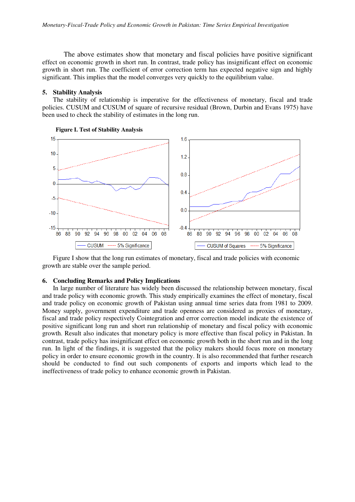The above estimates show that monetary and fiscal policies have positive significant effect on economic growth in short run. In contrast, trade policy has insignificant effect on economic growth in short run. The coefficient of error correction term has expected negative sign and highly significant. This implies that the model converges very quickly to the equilibrium value.

#### **5. Stability Analysis**

The stability of relationship is imperative for the effectiveness of monetary, fiscal and trade policies. CUSUM and CUSUM of square of recursive residual (Brown, Durbin and Evans 1975) have been used to check the stability of estimates in the long run.





Figure I show that the long run estimates of monetary, fiscal and trade policies with economic growth are stable over the sample period.

#### **6. Concluding Remarks and Policy Implications**

In large number of literature has widely been discussed the relationship between monetary, fiscal and trade policy with economic growth. This study empirically examines the effect of monetary, fiscal and trade policy on economic growth of Pakistan using annual time series data from 1981 to 2009. Money supply, government expenditure and trade openness are considered as proxies of monetary, fiscal and trade policy respectively Cointegration and error correction model indicate the existence of positive significant long run and short run relationship of monetary and fiscal policy with economic growth. Result also indicates that monetary policy is more effective than fiscal policy in Pakistan. In contrast, trade policy has insignificant effect on economic growth both in the short run and in the long run. In light of the findings, it is suggested that the policy makers should focus more on monetary policy in order to ensure economic growth in the country. It is also recommended that further research should be conducted to find out such components of exports and imports which lead to the ineffectiveness of trade policy to enhance economic growth in Pakistan.